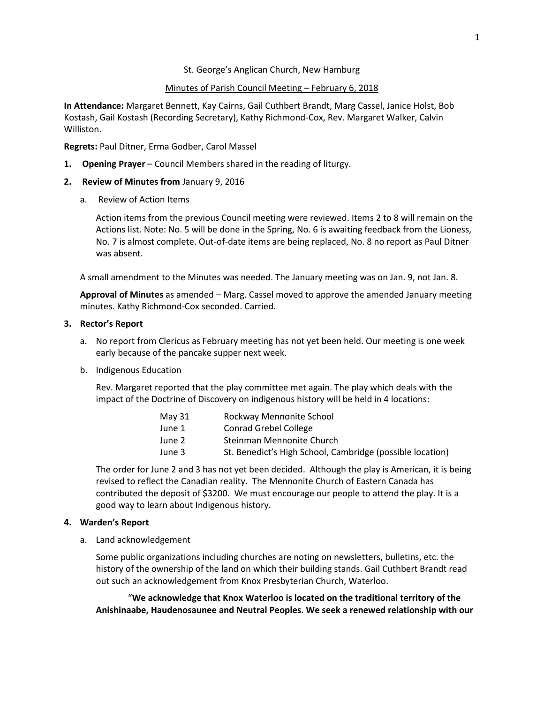### St. George's Anglican Church, New Hamburg

### Minutes of Parish Council Meeting – February 6, 2018

**In Attendance:** Margaret Bennett, Kay Cairns, Gail Cuthbert Brandt, Marg Cassel, Janice Holst, Bob Kostash, Gail Kostash (Recording Secretary), Kathy Richmond-Cox, Rev. Margaret Walker, Calvin Williston.

**Regrets:** Paul Ditner, Erma Godber, Carol Massel

**1. Opening Prayer** – Council Members shared in the reading of liturgy.

### **2. Review of Minutes from** January 9, 2016

a. Review of Action Items

Action items from the previous Council meeting were reviewed. Items 2 to 8 will remain on the Actions list. Note: No. 5 will be done in the Spring, No. 6 is awaiting feedback from the Lioness, No. 7 is almost complete. Out-of-date items are being replaced, No. 8 no report as Paul Ditner was absent.

A small amendment to the Minutes was needed. The January meeting was on Jan. 9, not Jan. 8.

**Approval of Minutes** as amended – Marg. Cassel moved to approve the amended January meeting minutes. Kathy Richmond-Cox seconded. Carried.

#### **3. Rector's Report**

- a. No report from Clericus as February meeting has not yet been held. Our meeting is one week early because of the pancake supper next week.
- b. Indigenous Education

Rev. Margaret reported that the play committee met again. The play which deals with the impact of the Doctrine of Discovery on indigenous history will be held in 4 locations:

| May 31 | Rockway Mennonite School                                  |
|--------|-----------------------------------------------------------|
| June 1 | Conrad Grebel College                                     |
| June 2 | Steinman Mennonite Church                                 |
| June 3 | St. Benedict's High School, Cambridge (possible location) |

The order for June 2 and 3 has not yet been decided. Although the play is American, it is being revised to reflect the Canadian reality. The Mennonite Church of Eastern Canada has contributed the deposit of \$3200. We must encourage our people to attend the play. It is a good way to learn about Indigenous history.

### **4. Warden's Report**

a. Land acknowledgement

Some public organizations including churches are noting on newsletters, bulletins, etc. the history of the ownership of the land on which their building stands. Gail Cuthbert Brandt read out such an acknowledgement from Knox Presbyterian Church, Waterloo.

"**We acknowledge that Knox Waterloo is located on the traditional territory of the Anishinaabe, Haudenosaunee and Neutral Peoples. We seek a renewed relationship with our**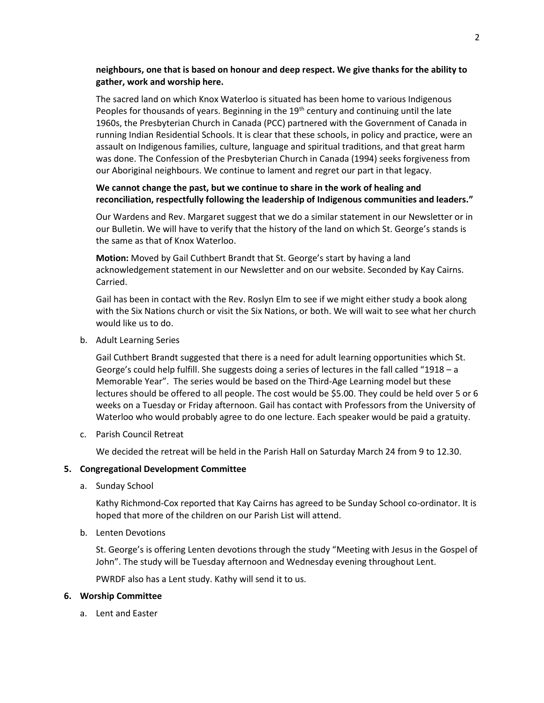# **neighbours, one that is based on honour and deep respect. We give thanks for the ability to gather, work and worship here.**

The sacred land on which Knox Waterloo is situated has been home to various Indigenous Peoples for thousands of years. Beginning in the 19<sup>th</sup> century and continuing until the late 1960s, the Presbyterian Church in Canada (PCC) partnered with the Government of Canada in running Indian Residential Schools. It is clear that these schools, in policy and practice, were an assault on Indigenous families, culture, language and spiritual traditions, and that great harm was done. The Confession of the Presbyterian Church in Canada (1994) seeks forgiveness from our Aboriginal neighbours. We continue to lament and regret our part in that legacy.

# **We cannot change the past, but we continue to share in the work of healing and reconciliation, respectfully following the leadership of Indigenous communities and leaders."**

Our Wardens and Rev. Margaret suggest that we do a similar statement in our Newsletter or in our Bulletin. We will have to verify that the history of the land on which St. George's stands is the same as that of Knox Waterloo.

**Motion:** Moved by Gail Cuthbert Brandt that St. George's start by having a land acknowledgement statement in our Newsletter and on our website. Seconded by Kay Cairns. Carried.

Gail has been in contact with the Rev. Roslyn Elm to see if we might either study a book along with the Six Nations church or visit the Six Nations, or both. We will wait to see what her church would like us to do.

b. Adult Learning Series

Gail Cuthbert Brandt suggested that there is a need for adult learning opportunities which St. George's could help fulfill. She suggests doing a series of lectures in the fall called "1918 – a Memorable Year". The series would be based on the Third-Age Learning model but these lectures should be offered to all people. The cost would be \$5.00. They could be held over 5 or 6 weeks on a Tuesday or Friday afternoon. Gail has contact with Professors from the University of Waterloo who would probably agree to do one lecture. Each speaker would be paid a gratuity.

c. Parish Council Retreat

We decided the retreat will be held in the Parish Hall on Saturday March 24 from 9 to 12.30.

# **5. Congregational Development Committee**

a. Sunday School

Kathy Richmond-Cox reported that Kay Cairns has agreed to be Sunday School co-ordinator. It is hoped that more of the children on our Parish List will attend.

b. Lenten Devotions

St. George's is offering Lenten devotions through the study "Meeting with Jesus in the Gospel of John". The study will be Tuesday afternoon and Wednesday evening throughout Lent.

PWRDF also has a Lent study. Kathy will send it to us.

### **6. Worship Committee**

a. Lent and Easter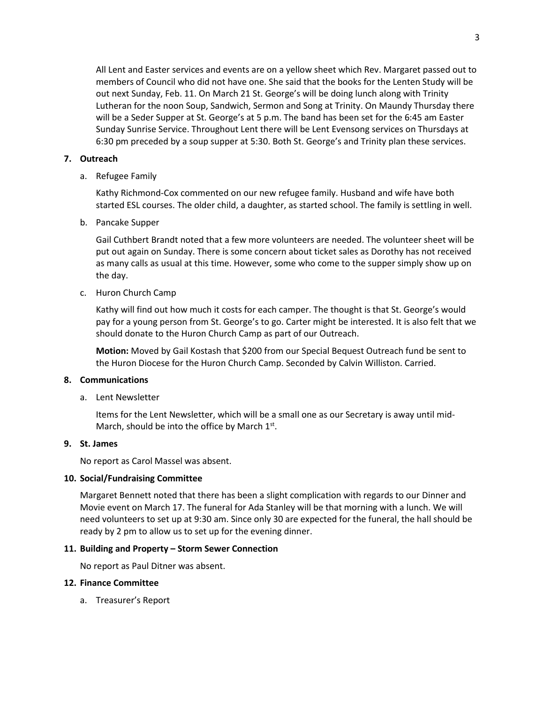All Lent and Easter services and events are on a yellow sheet which Rev. Margaret passed out to members of Council who did not have one. She said that the books for the Lenten Study will be out next Sunday, Feb. 11. On March 21 St. George's will be doing lunch along with Trinity Lutheran for the noon Soup, Sandwich, Sermon and Song at Trinity. On Maundy Thursday there will be a Seder Supper at St. George's at 5 p.m. The band has been set for the 6:45 am Easter Sunday Sunrise Service. Throughout Lent there will be Lent Evensong services on Thursdays at 6:30 pm preceded by a soup supper at 5:30. Both St. George's and Trinity plan these services.

### **7. Outreach**

a. Refugee Family

Kathy Richmond-Cox commented on our new refugee family. Husband and wife have both started ESL courses. The older child, a daughter, as started school. The family is settling in well.

b. Pancake Supper

Gail Cuthbert Brandt noted that a few more volunteers are needed. The volunteer sheet will be put out again on Sunday. There is some concern about ticket sales as Dorothy has not received as many calls as usual at this time. However, some who come to the supper simply show up on the day.

c. Huron Church Camp

Kathy will find out how much it costs for each camper. The thought is that St. George's would pay for a young person from St. George's to go. Carter might be interested. It is also felt that we should donate to the Huron Church Camp as part of our Outreach.

**Motion:** Moved by Gail Kostash that \$200 from our Special Bequest Outreach fund be sent to the Huron Diocese for the Huron Church Camp. Seconded by Calvin Williston. Carried.

#### **8. Communications**

a. Lent Newsletter

Items for the Lent Newsletter, which will be a small one as our Secretary is away until mid-March, should be into the office by March  $1<sup>st</sup>$ .

### **9. St. James**

No report as Carol Massel was absent.

#### **10. Social/Fundraising Committee**

Margaret Bennett noted that there has been a slight complication with regards to our Dinner and Movie event on March 17. The funeral for Ada Stanley will be that morning with a lunch. We will need volunteers to set up at 9:30 am. Since only 30 are expected for the funeral, the hall should be ready by 2 pm to allow us to set up for the evening dinner.

### **11. Building and Property – Storm Sewer Connection**

No report as Paul Ditner was absent.

#### **12. Finance Committee**

a. Treasurer's Report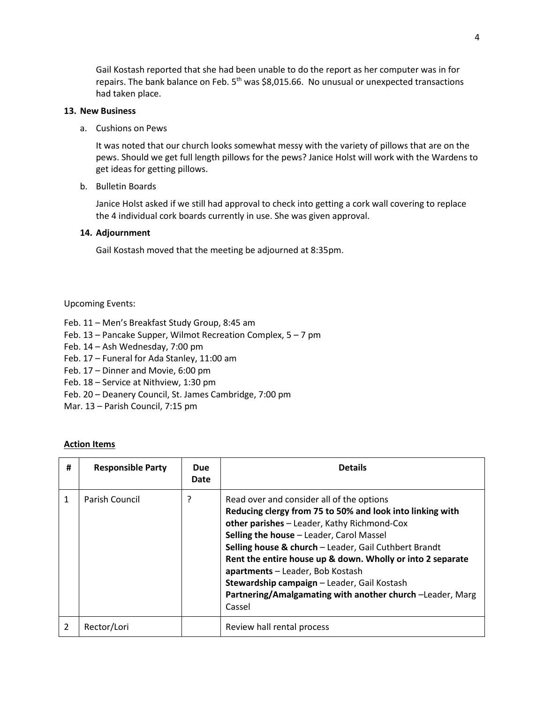Gail Kostash reported that she had been unable to do the report as her computer was in for repairs. The bank balance on Feb.  $5<sup>th</sup>$  was \$8,015.66. No unusual or unexpected transactions had taken place.

### **13. New Business**

a. Cushions on Pews

It was noted that our church looks somewhat messy with the variety of pillows that are on the pews. Should we get full length pillows for the pews? Janice Holst will work with the Wardens to get ideas for getting pillows.

b. Bulletin Boards

Janice Holst asked if we still had approval to check into getting a cork wall covering to replace the 4 individual cork boards currently in use. She was given approval.

## **14. Adjournment**

Gail Kostash moved that the meeting be adjourned at 8:35pm.

Upcoming Events:

- Feb. 11 Men's Breakfast Study Group, 8:45 am
- Feb. 13 Pancake Supper, Wilmot Recreation Complex, 5 7 pm
- Feb. 14 Ash Wednesday, 7:00 pm
- Feb. 17 Funeral for Ada Stanley, 11:00 am
- Feb. 17 Dinner and Movie, 6:00 pm
- Feb. 18 Service at Nithview, 1:30 pm
- Feb. 20 Deanery Council, St. James Cambridge, 7:00 pm
- Mar. 13 Parish Council, 7:15 pm

### **Action Items**

| # | <b>Responsible Party</b> | <b>Due</b><br>Date | <b>Details</b>                                                                                                                                                                                                                                                                                                                                                                                                                                                                     |
|---|--------------------------|--------------------|------------------------------------------------------------------------------------------------------------------------------------------------------------------------------------------------------------------------------------------------------------------------------------------------------------------------------------------------------------------------------------------------------------------------------------------------------------------------------------|
|   | Parish Council           | ?                  | Read over and consider all of the options<br>Reducing clergy from 75 to 50% and look into linking with<br>other parishes - Leader, Kathy Richmond-Cox<br>Selling the house - Leader, Carol Massel<br>Selling house & church - Leader, Gail Cuthbert Brandt<br>Rent the entire house up & down. Wholly or into 2 separate<br>apartments - Leader, Bob Kostash<br>Stewardship campaign - Leader, Gail Kostash<br>Partnering/Amalgamating with another church -Leader, Marg<br>Cassel |
| 2 | Rector/Lori              |                    | Review hall rental process                                                                                                                                                                                                                                                                                                                                                                                                                                                         |